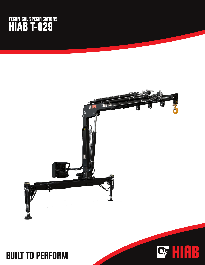## **TECHNICAL SPECIFICATIONS HIAB T-029**



HAB

SF

## **BUILT TO PERFORM**